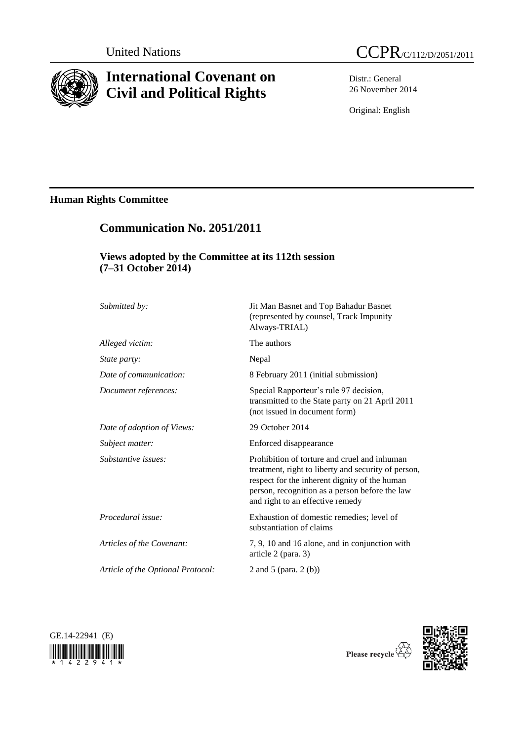

# **International Covenant on Civil and Political Rights**



Distr.: General 26 November 2014

Original: English

# **Human Rights Committee**

# **Communication No. 2051/2011**

## **Views adopted by the Committee at its 112th session (7–31 October 2014)**

| Submitted by:                     | Jit Man Basnet and Top Bahadur Basnet<br>(represented by counsel, Track Impunity<br>Always-TRIAL)                                                                                                                                          |
|-----------------------------------|--------------------------------------------------------------------------------------------------------------------------------------------------------------------------------------------------------------------------------------------|
| Alleged victim:                   | The authors                                                                                                                                                                                                                                |
| State party:                      | Nepal                                                                                                                                                                                                                                      |
| Date of communication:            | 8 February 2011 (initial submission)                                                                                                                                                                                                       |
| Document references:              | Special Rapporteur's rule 97 decision,<br>transmitted to the State party on 21 April 2011<br>(not issued in document form)                                                                                                                 |
| Date of adoption of Views:        | 29 October 2014                                                                                                                                                                                                                            |
| Subject matter:                   | Enforced disappearance                                                                                                                                                                                                                     |
| Substantive issues:               | Prohibition of torture and cruel and inhuman<br>treatment, right to liberty and security of person,<br>respect for the inherent dignity of the human<br>person, recognition as a person before the law<br>and right to an effective remedy |
| Procedural issue:                 | Exhaustion of domestic remedies; level of<br>substantiation of claims                                                                                                                                                                      |
| Articles of the Covenant:         | 7, 9, 10 and 16 alone, and in conjunction with<br>article 2 (para. 3)                                                                                                                                                                      |
| Article of the Optional Protocol: | 2 and 5 (para. $2(b)$ )                                                                                                                                                                                                                    |





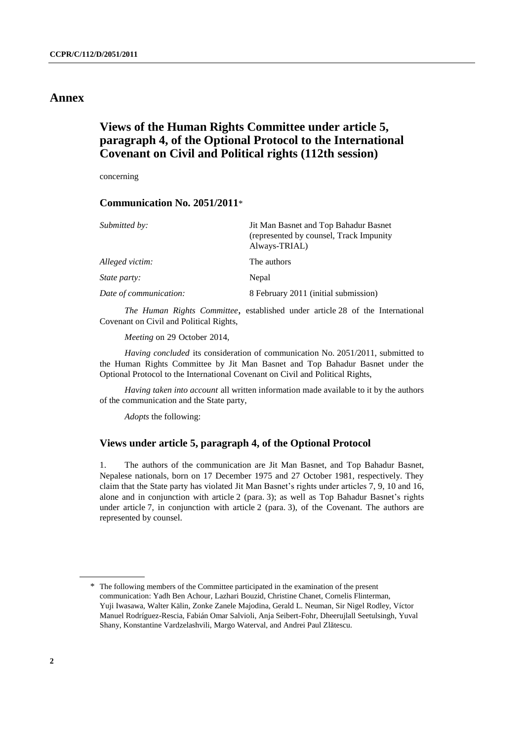## **Annex**

## **Views of the Human Rights Committee under article 5, paragraph 4, of the Optional Protocol to the International Covenant on Civil and Political rights (112th session)**

concerning

## **Communication No. 2051/2011**\*

| Submitted by:          | Jit Man Basnet and Top Bahadur Basnet<br>(represented by counsel, Track Impunity)<br>Always-TRIAL) |
|------------------------|----------------------------------------------------------------------------------------------------|
| Alleged victim:        | The authors                                                                                        |
| <i>State party:</i>    | Nepal                                                                                              |
| Date of communication: | 8 February 2011 (initial submission)                                                               |

*The Human Rights Committee*, established under article 28 of the International Covenant on Civil and Political Rights,

*Meeting* on 29 October 2014,

*Having concluded* its consideration of communication No. 2051/2011, submitted to the Human Rights Committee by Jit Man Basnet and Top Bahadur Basnet under the Optional Protocol to the International Covenant on Civil and Political Rights,

*Having taken into account* all written information made available to it by the authors of the communication and the State party,

*Adopts* the following:

## **Views under article 5, paragraph 4, of the Optional Protocol**

1. The authors of the communication are Jit Man Basnet, and Top Bahadur Basnet, Nepalese nationals, born on 17 December 1975 and 27 October 1981, respectively. They claim that the State party has violated Jit Man Basnet's rights under articles 7, 9, 10 and 16, alone and in conjunction with article 2 (para. 3); as well as Top Bahadur Basnet's rights under article 7, in conjunction with article 2 (para. 3), of the Covenant. The authors are represented by counsel.

<sup>\*</sup> The following members of the Committee participated in the examination of the present communication: Yadh Ben Achour, Lazhari Bouzid, Christine Chanet, Cornelis Flinterman, Yuji Iwasawa, Walter Kälin, Zonke Zanele Majodina, Gerald L. Neuman, Sir Nigel Rodley, Víctor Manuel Rodríguez-Rescia, Fabián Omar Salvioli, Anja Seibert-Fohr, Dheerujlall Seetulsingh, Yuval Shany, Konstantine Vardzelashvili, Margo Waterval, and Andrei Paul Zlătescu.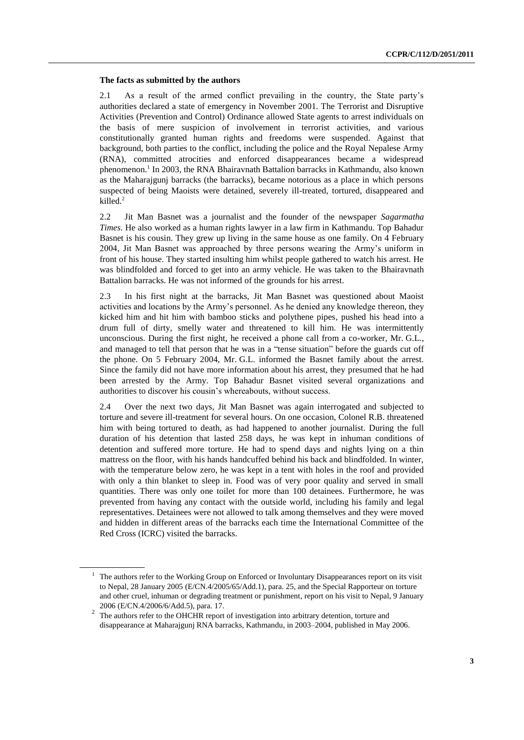#### **The facts as submitted by the authors**

2.1 As a result of the armed conflict prevailing in the country, the State party's authorities declared a state of emergency in November 2001. The Terrorist and Disruptive Activities (Prevention and Control) Ordinance allowed State agents to arrest individuals on the basis of mere suspicion of involvement in terrorist activities, and various constitutionally granted human rights and freedoms were suspended. Against that background, both parties to the conflict, including the police and the Royal Nepalese Army (RNA), committed atrocities and enforced disappearances became a widespread phenomenon.<sup>1</sup> In 2003, the RNA Bhairavnath Battalion barracks in Kathmandu, also known as the Maharajgunj barracks (the barracks), became notorious as a place in which persons suspected of being Maoists were detained, severely ill-treated, tortured, disappeared and killed. 2

2.2 Jit Man Basnet was a journalist and the founder of the newspaper *Sagarmatha Times*. He also worked as a human rights lawyer in a law firm in Kathmandu. Top Bahadur Basnet is his cousin. They grew up living in the same house as one family. On 4 February 2004, Jit Man Basnet was approached by three persons wearing the Army's uniform in front of his house. They started insulting him whilst people gathered to watch his arrest. He was blindfolded and forced to get into an army vehicle. He was taken to the Bhairavnath Battalion barracks. He was not informed of the grounds for his arrest.

2.3 In his first night at the barracks, Jit Man Basnet was questioned about Maoist activities and locations by the Army's personnel. As he denied any knowledge thereon, they kicked him and hit him with bamboo sticks and polythene pipes, pushed his head into a drum full of dirty, smelly water and threatened to kill him. He was intermittently unconscious. During the first night, he received a phone call from a co-worker, Mr. G.L., and managed to tell that person that he was in a "tense situation" before the guards cut off the phone. On 5 February 2004, Mr. G.L. informed the Basnet family about the arrest. Since the family did not have more information about his arrest, they presumed that he had been arrested by the Army. Top Bahadur Basnet visited several organizations and authorities to discover his cousin's whereabouts, without success.

2.4 Over the next two days, Jit Man Basnet was again interrogated and subjected to torture and severe ill-treatment for several hours. On one occasion, Colonel R.B. threatened him with being tortured to death, as had happened to another journalist. During the full duration of his detention that lasted 258 days, he was kept in inhuman conditions of detention and suffered more torture. He had to spend days and nights lying on a thin mattress on the floor, with his hands handcuffed behind his back and blindfolded. In winter, with the temperature below zero, he was kept in a tent with holes in the roof and provided with only a thin blanket to sleep in. Food was of very poor quality and served in small quantities. There was only one toilet for more than 100 detainees. Furthermore, he was prevented from having any contact with the outside world, including his family and legal representatives. Detainees were not allowed to talk among themselves and they were moved and hidden in different areas of the barracks each time the International Committee of the Red Cross (ICRC) visited the barracks.

<sup>&</sup>lt;sup>1</sup> The authors refer to the Working Group on Enforced or Involuntary Disappearances report on its visit to Nepal, 28 January 2005 (E/CN.4/2005/65/Add.1), para. 25, and the Special Rapporteur on torture and other cruel, inhuman or degrading treatment or punishment, report on his visit to Nepal, 9 January 2006 (E/CN.4/2006/6/Add.5), para. 17.

 $2$  The authors refer to the OHCHR report of investigation into arbitrary detention, torture and disappearance at Maharajgunj RNA barracks, Kathmandu, in 2003–2004, published in May 2006.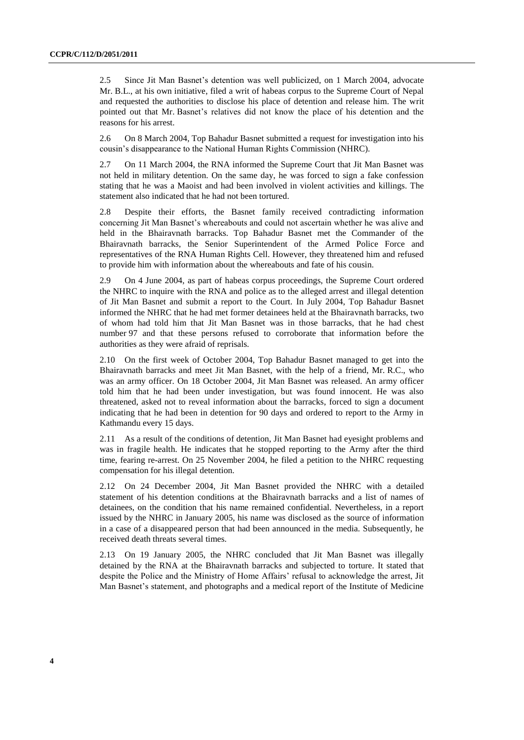2.5 Since Jit Man Basnet's detention was well publicized, on 1 March 2004, advocate Mr. B.L., at his own initiative, filed a writ of habeas corpus to the Supreme Court of Nepal and requested the authorities to disclose his place of detention and release him. The writ pointed out that Mr. Basnet's relatives did not know the place of his detention and the reasons for his arrest.

2.6 On 8 March 2004, Top Bahadur Basnet submitted a request for investigation into his cousin's disappearance to the National Human Rights Commission (NHRC).

2.7 On 11 March 2004, the RNA informed the Supreme Court that Jit Man Basnet was not held in military detention. On the same day, he was forced to sign a fake confession stating that he was a Maoist and had been involved in violent activities and killings. The statement also indicated that he had not been tortured.

2.8 Despite their efforts, the Basnet family received contradicting information concerning Jit Man Basnet's whereabouts and could not ascertain whether he was alive and held in the Bhairavnath barracks. Top Bahadur Basnet met the Commander of the Bhairavnath barracks, the Senior Superintendent of the Armed Police Force and representatives of the RNA Human Rights Cell. However, they threatened him and refused to provide him with information about the whereabouts and fate of his cousin.

2.9 On 4 June 2004, as part of habeas corpus proceedings, the Supreme Court ordered the NHRC to inquire with the RNA and police as to the alleged arrest and illegal detention of Jit Man Basnet and submit a report to the Court. In July 2004, Top Bahadur Basnet informed the NHRC that he had met former detainees held at the Bhairavnath barracks, two of whom had told him that Jit Man Basnet was in those barracks, that he had chest number 97 and that these persons refused to corroborate that information before the authorities as they were afraid of reprisals.

2.10 On the first week of October 2004, Top Bahadur Basnet managed to get into the Bhairavnath barracks and meet Jit Man Basnet, with the help of a friend, Mr. R.C., who was an army officer. On 18 October 2004, Jit Man Basnet was released. An army officer told him that he had been under investigation, but was found innocent. He was also threatened, asked not to reveal information about the barracks, forced to sign a document indicating that he had been in detention for 90 days and ordered to report to the Army in Kathmandu every 15 days.

2.11 As a result of the conditions of detention, Jit Man Basnet had eyesight problems and was in fragile health. He indicates that he stopped reporting to the Army after the third time, fearing re-arrest. On 25 November 2004, he filed a petition to the NHRC requesting compensation for his illegal detention.

2.12 On 24 December 2004, Jit Man Basnet provided the NHRC with a detailed statement of his detention conditions at the Bhairavnath barracks and a list of names of detainees, on the condition that his name remained confidential. Nevertheless, in a report issued by the NHRC in January 2005, his name was disclosed as the source of information in a case of a disappeared person that had been announced in the media. Subsequently, he received death threats several times.

2.13 On 19 January 2005, the NHRC concluded that Jit Man Basnet was illegally detained by the RNA at the Bhairavnath barracks and subjected to torture. It stated that despite the Police and the Ministry of Home Affairs' refusal to acknowledge the arrest, Jit Man Basnet's statement, and photographs and a medical report of the Institute of Medicine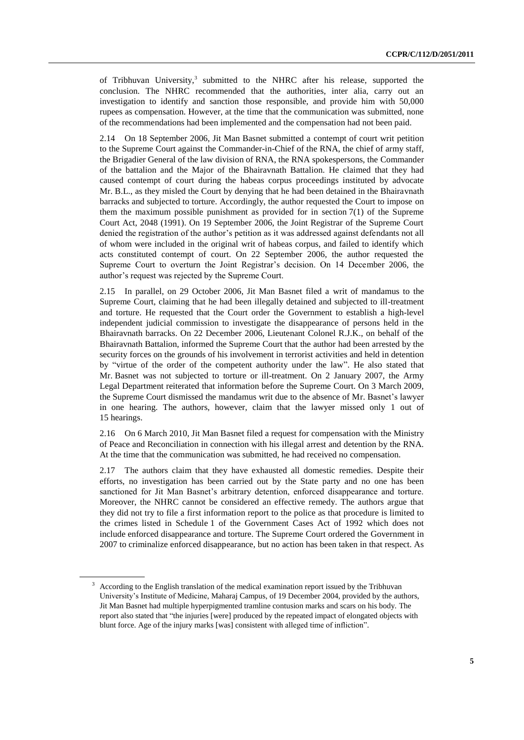of Tribhuvan University,<sup>3</sup> submitted to the NHRC after his release, supported the conclusion. The NHRC recommended that the authorities, inter alia, carry out an investigation to identify and sanction those responsible, and provide him with 50,000 rupees as compensation. However, at the time that the communication was submitted, none of the recommendations had been implemented and the compensation had not been paid.

2.14 On 18 September 2006, Jit Man Basnet submitted a contempt of court writ petition to the Supreme Court against the Commander-in-Chief of the RNA, the chief of army staff, the Brigadier General of the law division of RNA, the RNA spokespersons, the Commander of the battalion and the Major of the Bhairavnath Battalion. He claimed that they had caused contempt of court during the habeas corpus proceedings instituted by advocate Mr. B.L., as they misled the Court by denying that he had been detained in the Bhairavnath barracks and subjected to torture. Accordingly, the author requested the Court to impose on them the maximum possible punishment as provided for in section 7(1) of the Supreme Court Act, 2048 (1991). On 19 September 2006, the Joint Registrar of the Supreme Court denied the registration of the author's petition as it was addressed against defendants not all of whom were included in the original writ of habeas corpus, and failed to identify which acts constituted contempt of court. On 22 September 2006, the author requested the Supreme Court to overturn the Joint Registrar's decision. On 14 December 2006, the author's request was rejected by the Supreme Court.

2.15 In parallel, on 29 October 2006, Jit Man Basnet filed a writ of mandamus to the Supreme Court, claiming that he had been illegally detained and subjected to ill-treatment and torture. He requested that the Court order the Government to establish a high-level independent judicial commission to investigate the disappearance of persons held in the Bhairavnath barracks. On 22 December 2006, Lieutenant Colonel R.J.K., on behalf of the Bhairavnath Battalion, informed the Supreme Court that the author had been arrested by the security forces on the grounds of his involvement in terrorist activities and held in detention by "virtue of the order of the competent authority under the law". He also stated that Mr. Basnet was not subjected to torture or ill-treatment. On 2 January 2007, the Army Legal Department reiterated that information before the Supreme Court. On 3 March 2009, the Supreme Court dismissed the mandamus writ due to the absence of Mr. Basnet's lawyer in one hearing. The authors, however, claim that the lawyer missed only 1 out of 15 hearings.

2.16 On 6 March 2010, Jit Man Basnet filed a request for compensation with the Ministry of Peace and Reconciliation in connection with his illegal arrest and detention by the RNA. At the time that the communication was submitted, he had received no compensation.

2.17 The authors claim that they have exhausted all domestic remedies. Despite their efforts, no investigation has been carried out by the State party and no one has been sanctioned for Jit Man Basnet's arbitrary detention, enforced disappearance and torture. Moreover, the NHRC cannot be considered an effective remedy. The authors argue that they did not try to file a first information report to the police as that procedure is limited to the crimes listed in Schedule 1 of the Government Cases Act of 1992 which does not include enforced disappearance and torture. The Supreme Court ordered the Government in 2007 to criminalize enforced disappearance, but no action has been taken in that respect. As

<sup>&</sup>lt;sup>3</sup> According to the English translation of the medical examination report issued by the Tribhuvan University's Institute of Medicine, Maharaj Campus, of 19 December 2004, provided by the authors, Jit Man Basnet had multiple hyperpigmented tramline contusion marks and scars on his body. The report also stated that "the injuries [were] produced by the repeated impact of elongated objects with blunt force. Age of the injury marks [was] consistent with alleged time of infliction".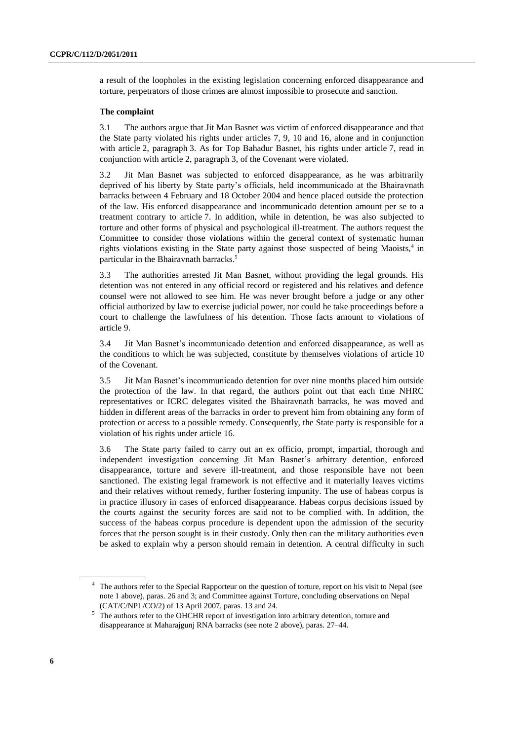a result of the loopholes in the existing legislation concerning enforced disappearance and torture, perpetrators of those crimes are almost impossible to prosecute and sanction.

#### **The complaint**

3.1 The authors argue that Jit Man Basnet was victim of enforced disappearance and that the State party violated his rights under articles 7, 9, 10 and 16, alone and in conjunction with article 2, paragraph 3. As for Top Bahadur Basnet, his rights under article 7, read in conjunction with article 2, paragraph 3, of the Covenant were violated.

3.2 Jit Man Basnet was subjected to enforced disappearance, as he was arbitrarily deprived of his liberty by State party's officials, held incommunicado at the Bhairavnath barracks between 4 February and 18 October 2004 and hence placed outside the protection of the law. His enforced disappearance and incommunicado detention amount per se to a treatment contrary to article 7. In addition, while in detention, he was also subjected to torture and other forms of physical and psychological ill-treatment. The authors request the Committee to consider those violations within the general context of systematic human rights violations existing in the State party against those suspected of being Maoists,<sup>4</sup> in particular in the Bhairavnath barracks.<sup>5</sup>

3.3 The authorities arrested Jit Man Basnet, without providing the legal grounds. His detention was not entered in any official record or registered and his relatives and defence counsel were not allowed to see him. He was never brought before a judge or any other official authorized by law to exercise judicial power, nor could he take proceedings before a court to challenge the lawfulness of his detention. Those facts amount to violations of article 9.

3.4 Jit Man Basnet's incommunicado detention and enforced disappearance, as well as the conditions to which he was subjected, constitute by themselves violations of article 10 of the Covenant.

3.5 Jit Man Basnet's incommunicado detention for over nine months placed him outside the protection of the law. In that regard, the authors point out that each time NHRC representatives or ICRC delegates visited the Bhairavnath barracks, he was moved and hidden in different areas of the barracks in order to prevent him from obtaining any form of protection or access to a possible remedy. Consequently, the State party is responsible for a violation of his rights under article 16.

3.6 The State party failed to carry out an ex officio, prompt, impartial, thorough and independent investigation concerning Jit Man Basnet's arbitrary detention, enforced disappearance, torture and severe ill-treatment, and those responsible have not been sanctioned. The existing legal framework is not effective and it materially leaves victims and their relatives without remedy, further fostering impunity. The use of habeas corpus is in practice illusory in cases of enforced disappearance. Habeas corpus decisions issued by the courts against the security forces are said not to be complied with. In addition, the success of the habeas corpus procedure is dependent upon the admission of the security forces that the person sought is in their custody. Only then can the military authorities even be asked to explain why a person should remain in detention. A central difficulty in such

<sup>&</sup>lt;sup>4</sup> The authors refer to the Special Rapporteur on the question of torture, report on his visit to Nepal (see note 1 above), paras. 26 and 3; and Committee against Torture, concluding observations on Nepal (CAT/C/NPL/CO/2) of 13 April 2007, paras. 13 and 24.

<sup>&</sup>lt;sup>5</sup> The authors refer to the OHCHR report of investigation into arbitrary detention, torture and disappearance at Maharajgunj RNA barracks (see note 2 above), paras. 27–44.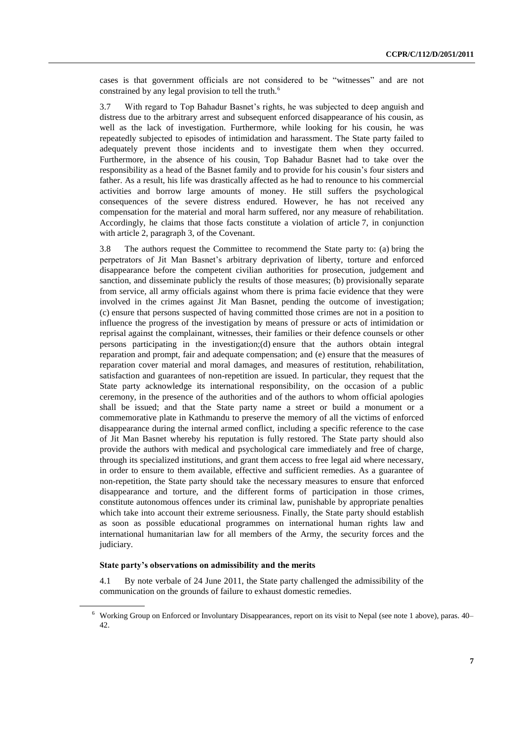cases is that government officials are not considered to be "witnesses" and are not constrained by any legal provision to tell the truth.<sup>6</sup>

3.7 With regard to Top Bahadur Basnet's rights, he was subjected to deep anguish and distress due to the arbitrary arrest and subsequent enforced disappearance of his cousin, as well as the lack of investigation. Furthermore, while looking for his cousin, he was repeatedly subjected to episodes of intimidation and harassment. The State party failed to adequately prevent those incidents and to investigate them when they occurred. Furthermore, in the absence of his cousin, Top Bahadur Basnet had to take over the responsibility as a head of the Basnet family and to provide for his cousin's four sisters and father. As a result, his life was drastically affected as he had to renounce to his commercial activities and borrow large amounts of money. He still suffers the psychological consequences of the severe distress endured. However, he has not received any compensation for the material and moral harm suffered, nor any measure of rehabilitation. Accordingly, he claims that those facts constitute a violation of article 7, in conjunction with article 2, paragraph 3, of the Covenant.

3.8 The authors request the Committee to recommend the State party to: (a) bring the perpetrators of Jit Man Basnet's arbitrary deprivation of liberty, torture and enforced disappearance before the competent civilian authorities for prosecution, judgement and sanction, and disseminate publicly the results of those measures; (b) provisionally separate from service, all army officials against whom there is prima facie evidence that they were involved in the crimes against Jit Man Basnet, pending the outcome of investigation; (c) ensure that persons suspected of having committed those crimes are not in a position to influence the progress of the investigation by means of pressure or acts of intimidation or reprisal against the complainant, witnesses, their families or their defence counsels or other persons participating in the investigation;(d) ensure that the authors obtain integral reparation and prompt, fair and adequate compensation; and (e) ensure that the measures of reparation cover material and moral damages, and measures of restitution, rehabilitation, satisfaction and guarantees of non-repetition are issued. In particular, they request that the State party acknowledge its international responsibility, on the occasion of a public ceremony, in the presence of the authorities and of the authors to whom official apologies shall be issued; and that the State party name a street or build a monument or a commemorative plate in Kathmandu to preserve the memory of all the victims of enforced disappearance during the internal armed conflict, including a specific reference to the case of Jit Man Basnet whereby his reputation is fully restored. The State party should also provide the authors with medical and psychological care immediately and free of charge, through its specialized institutions, and grant them access to free legal aid where necessary, in order to ensure to them available, effective and sufficient remedies. As a guarantee of non-repetition, the State party should take the necessary measures to ensure that enforced disappearance and torture, and the different forms of participation in those crimes, constitute autonomous offences under its criminal law, punishable by appropriate penalties which take into account their extreme seriousness. Finally, the State party should establish as soon as possible educational programmes on international human rights law and international humanitarian law for all members of the Army, the security forces and the judiciary.

#### **State party's observations on admissibility and the merits**

4.1 By note verbale of 24 June 2011, the State party challenged the admissibility of the communication on the grounds of failure to exhaust domestic remedies.

<sup>6</sup> Working Group on Enforced or Involuntary Disappearances, report on its visit to Nepal (see note 1 above), paras. 40– 42.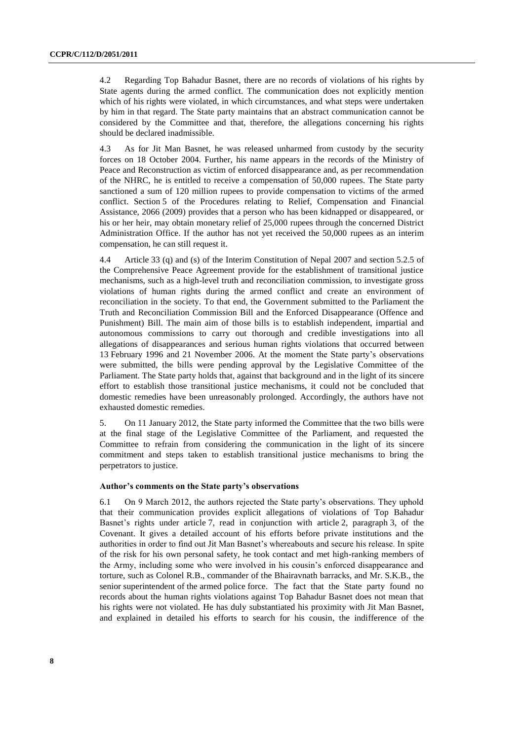4.2 Regarding Top Bahadur Basnet, there are no records of violations of his rights by State agents during the armed conflict. The communication does not explicitly mention which of his rights were violated, in which circumstances, and what steps were undertaken by him in that regard. The State party maintains that an abstract communication cannot be considered by the Committee and that, therefore, the allegations concerning his rights should be declared inadmissible.

4.3 As for Jit Man Basnet, he was released unharmed from custody by the security forces on 18 October 2004. Further, his name appears in the records of the Ministry of Peace and Reconstruction as victim of enforced disappearance and, as per recommendation of the NHRC, he is entitled to receive a compensation of 50,000 rupees. The State party sanctioned a sum of 120 million rupees to provide compensation to victims of the armed conflict. Section 5 of the Procedures relating to Relief, Compensation and Financial Assistance, 2066 (2009) provides that a person who has been kidnapped or disappeared, or his or her heir, may obtain monetary relief of 25,000 rupees through the concerned District Administration Office. If the author has not yet received the 50,000 rupees as an interim compensation, he can still request it.

4.4 Article 33 (q) and (s) of the Interim Constitution of Nepal 2007 and section 5.2.5 of the Comprehensive Peace Agreement provide for the establishment of transitional justice mechanisms, such as a high-level truth and reconciliation commission, to investigate gross violations of human rights during the armed conflict and create an environment of reconciliation in the society. To that end, the Government submitted to the Parliament the Truth and Reconciliation Commission Bill and the Enforced Disappearance (Offence and Punishment) Bill. The main aim of those bills is to establish independent, impartial and autonomous commissions to carry out thorough and credible investigations into all allegations of disappearances and serious human rights violations that occurred between 13 February 1996 and 21 November 2006. At the moment the State party's observations were submitted, the bills were pending approval by the Legislative Committee of the Parliament. The State party holds that, against that background and in the light of its sincere effort to establish those transitional justice mechanisms, it could not be concluded that domestic remedies have been unreasonably prolonged. Accordingly, the authors have not exhausted domestic remedies.

5. On 11 January 2012, the State party informed the Committee that the two bills were at the final stage of the Legislative Committee of the Parliament, and requested the Committee to refrain from considering the communication in the light of its sincere commitment and steps taken to establish transitional justice mechanisms to bring the perpetrators to justice.

#### **Author's comments on the State party's observations**

6.1 On 9 March 2012, the authors rejected the State party's observations. They uphold that their communication provides explicit allegations of violations of Top Bahadur Basnet's rights under article 7, read in conjunction with article 2, paragraph 3, of the Covenant. It gives a detailed account of his efforts before private institutions and the authorities in order to find out Jit Man Basnet's whereabouts and secure his release. In spite of the risk for his own personal safety, he took contact and met high-ranking members of the Army, including some who were involved in his cousin's enforced disappearance and torture, such as Colonel R.B., commander of the Bhairavnath barracks, and Mr. S.K.B., the senior superintendent of the armed police force. The fact that the State party found no records about the human rights violations against Top Bahadur Basnet does not mean that his rights were not violated. He has duly substantiated his proximity with Jit Man Basnet, and explained in detailed his efforts to search for his cousin, the indifference of the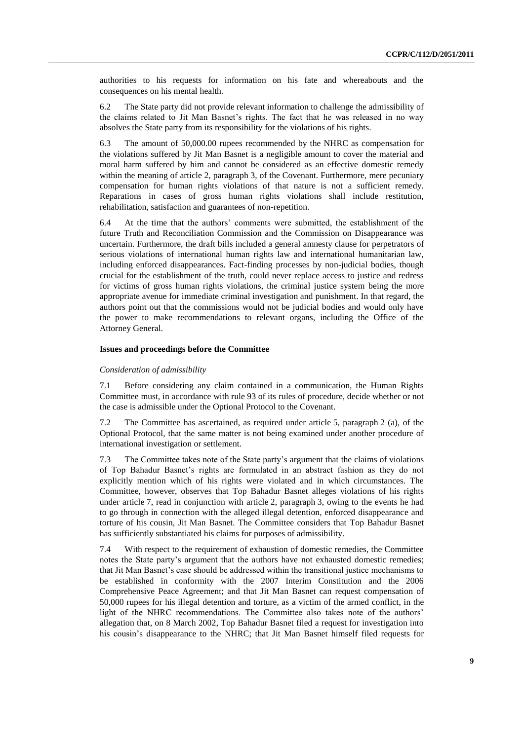authorities to his requests for information on his fate and whereabouts and the consequences on his mental health.

6.2 The State party did not provide relevant information to challenge the admissibility of the claims related to Jit Man Basnet's rights. The fact that he was released in no way absolves the State party from its responsibility for the violations of his rights.

6.3 The amount of 50,000.00 rupees recommended by the NHRC as compensation for the violations suffered by Jit Man Basnet is a negligible amount to cover the material and moral harm suffered by him and cannot be considered as an effective domestic remedy within the meaning of article 2, paragraph 3, of the Covenant. Furthermore, mere pecuniary compensation for human rights violations of that nature is not a sufficient remedy. Reparations in cases of gross human rights violations shall include restitution, rehabilitation, satisfaction and guarantees of non-repetition.

6.4 At the time that the authors' comments were submitted, the establishment of the future Truth and Reconciliation Commission and the Commission on Disappearance was uncertain. Furthermore, the draft bills included a general amnesty clause for perpetrators of serious violations of international human rights law and international humanitarian law, including enforced disappearances. Fact-finding processes by non-judicial bodies, though crucial for the establishment of the truth, could never replace access to justice and redress for victims of gross human rights violations, the criminal justice system being the more appropriate avenue for immediate criminal investigation and punishment. In that regard, the authors point out that the commissions would not be judicial bodies and would only have the power to make recommendations to relevant organs, including the Office of the Attorney General.

#### **Issues and proceedings before the Committee**

#### *Consideration of admissibility*

7.1 Before considering any claim contained in a communication, the Human Rights Committee must, in accordance with rule 93 of its rules of procedure, decide whether or not the case is admissible under the Optional Protocol to the Covenant.

7.2 The Committee has ascertained, as required under article 5, paragraph 2 (a), of the Optional Protocol, that the same matter is not being examined under another procedure of international investigation or settlement.

7.3 The Committee takes note of the State party's argument that the claims of violations of Top Bahadur Basnet's rights are formulated in an abstract fashion as they do not explicitly mention which of his rights were violated and in which circumstances. The Committee, however, observes that Top Bahadur Basnet alleges violations of his rights under article 7, read in conjunction with article 2, paragraph 3, owing to the events he had to go through in connection with the alleged illegal detention, enforced disappearance and torture of his cousin, Jit Man Basnet. The Committee considers that Top Bahadur Basnet has sufficiently substantiated his claims for purposes of admissibility.

7.4 With respect to the requirement of exhaustion of domestic remedies, the Committee notes the State party's argument that the authors have not exhausted domestic remedies; that Jit Man Basnet's case should be addressed within the transitional justice mechanisms to be established in conformity with the 2007 Interim Constitution and the 2006 Comprehensive Peace Agreement; and that Jit Man Basnet can request compensation of 50,000 rupees for his illegal detention and torture, as a victim of the armed conflict, in the light of the NHRC recommendations. The Committee also takes note of the authors' allegation that, on 8 March 2002, Top Bahadur Basnet filed a request for investigation into his cousin's disappearance to the NHRC; that Jit Man Basnet himself filed requests for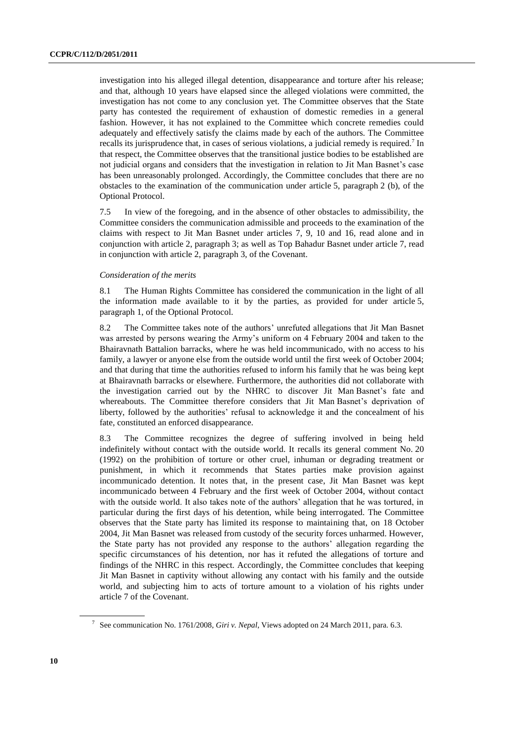investigation into his alleged illegal detention, disappearance and torture after his release; and that, although 10 years have elapsed since the alleged violations were committed, the investigation has not come to any conclusion yet. The Committee observes that the State party has contested the requirement of exhaustion of domestic remedies in a general fashion. However, it has not explained to the Committee which concrete remedies could adequately and effectively satisfy the claims made by each of the authors. The Committee recalls its jurisprudence that, in cases of serious violations, a judicial remedy is required.<sup>7</sup> In that respect, the Committee observes that the transitional justice bodies to be established are not judicial organs and considers that the investigation in relation to Jit Man Basnet's case has been unreasonably prolonged. Accordingly, the Committee concludes that there are no obstacles to the examination of the communication under article 5, paragraph 2 (b), of the Optional Protocol.

7.5 In view of the foregoing, and in the absence of other obstacles to admissibility, the Committee considers the communication admissible and proceeds to the examination of the claims with respect to Jit Man Basnet under articles 7, 9, 10 and 16, read alone and in conjunction with article 2, paragraph 3; as well as Top Bahadur Basnet under article 7, read in conjunction with article 2, paragraph 3, of the Covenant.

#### *Consideration of the merits*

8.1 The Human Rights Committee has considered the communication in the light of all the information made available to it by the parties, as provided for under article 5, paragraph 1, of the Optional Protocol.

8.2 The Committee takes note of the authors' unrefuted allegations that Jit Man Basnet was arrested by persons wearing the Army's uniform on 4 February 2004 and taken to the Bhairavnath Battalion barracks, where he was held incommunicado, with no access to his family, a lawyer or anyone else from the outside world until the first week of October 2004; and that during that time the authorities refused to inform his family that he was being kept at Bhairavnath barracks or elsewhere. Furthermore, the authorities did not collaborate with the investigation carried out by the NHRC to discover Jit Man Basnet's fate and whereabouts. The Committee therefore considers that Jit Man Basnet's deprivation of liberty, followed by the authorities' refusal to acknowledge it and the concealment of his fate, constituted an enforced disappearance.

8.3 The Committee recognizes the degree of suffering involved in being held indefinitely without contact with the outside world. It recalls its general comment No. 20 (1992) on the prohibition of torture or other cruel, inhuman or degrading treatment or punishment, in which it recommends that States parties make provision against incommunicado detention. It notes that, in the present case, Jit Man Basnet was kept incommunicado between 4 February and the first week of October 2004, without contact with the outside world. It also takes note of the authors' allegation that he was tortured, in particular during the first days of his detention, while being interrogated. The Committee observes that the State party has limited its response to maintaining that, on 18 October 2004, Jit Man Basnet was released from custody of the security forces unharmed. However, the State party has not provided any response to the authors' allegation regarding the specific circumstances of his detention, nor has it refuted the allegations of torture and findings of the NHRC in this respect. Accordingly, the Committee concludes that keeping Jit Man Basnet in captivity without allowing any contact with his family and the outside world, and subjecting him to acts of torture amount to a violation of his rights under article 7 of the Covenant.

<sup>7</sup> See communication No. 1761/2008, *Giri v. Nepal*, Views adopted on 24 March 2011, para. 6.3.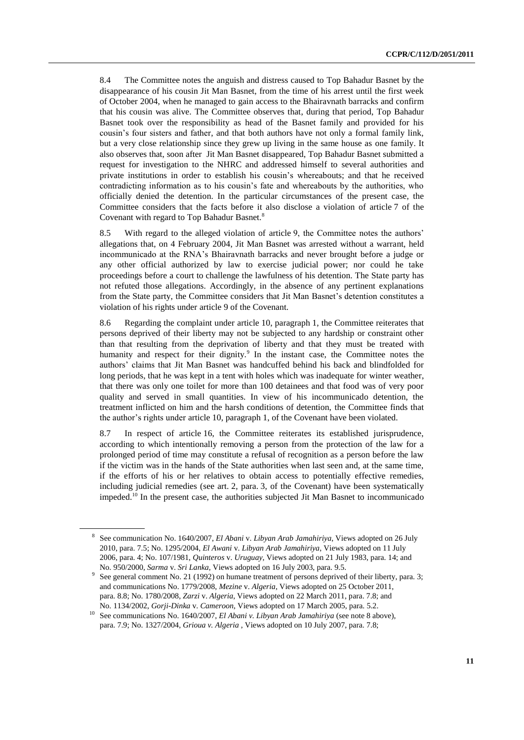8.4 The Committee notes the anguish and distress caused to Top Bahadur Basnet by the disappearance of his cousin Jit Man Basnet, from the time of his arrest until the first week of October 2004, when he managed to gain access to the Bhairavnath barracks and confirm that his cousin was alive. The Committee observes that, during that period, Top Bahadur Basnet took over the responsibility as head of the Basnet family and provided for his cousin's four sisters and father, and that both authors have not only a formal family link, but a very close relationship since they grew up living in the same house as one family. It also observes that, soon after Jit Man Basnet disappeared, Top Bahadur Basnet submitted a request for investigation to the NHRC and addressed himself to several authorities and private institutions in order to establish his cousin's whereabouts; and that he received contradicting information as to his cousin's fate and whereabouts by the authorities, who officially denied the detention. In the particular circumstances of the present case, the Committee considers that the facts before it also disclose a violation of article 7 of the Covenant with regard to Top Bahadur Basnet.<sup>8</sup>

8.5 With regard to the alleged violation of article 9, the Committee notes the authors' allegations that, on 4 February 2004, Jit Man Basnet was arrested without a warrant, held incommunicado at the RNA's Bhairavnath barracks and never brought before a judge or any other official authorized by law to exercise judicial power; nor could he take proceedings before a court to challenge the lawfulness of his detention. The State party has not refuted those allegations. Accordingly, in the absence of any pertinent explanations from the State party, the Committee considers that Jit Man Basnet's detention constitutes a violation of his rights under article 9 of the Covenant.

8.6 Regarding the complaint under article 10, paragraph 1, the Committee reiterates that persons deprived of their liberty may not be subjected to any hardship or constraint other than that resulting from the deprivation of liberty and that they must be treated with humanity and respect for their dignity.<sup>9</sup> In the instant case, the Committee notes the authors' claims that Jit Man Basnet was handcuffed behind his back and blindfolded for long periods, that he was kept in a tent with holes which was inadequate for winter weather, that there was only one toilet for more than 100 detainees and that food was of very poor quality and served in small quantities. In view of his incommunicado detention, the treatment inflicted on him and the harsh conditions of detention, the Committee finds that the author's rights under article 10, paragraph 1, of the Covenant have been violated.

8.7 In respect of article 16, the Committee reiterates its established jurisprudence, according to which intentionally removing a person from the protection of the law for a prolonged period of time may constitute a refusal of recognition as a person before the law if the victim was in the hands of the State authorities when last seen and, at the same time, if the efforts of his or her relatives to obtain access to potentially effective remedies, including judicial remedies (see art. 2, para. 3, of the Covenant) have been systematically impeded.<sup>10</sup> In the present case, the authorities subjected Jit Man Basnet to incommunicado

<sup>8</sup> See communication No. 1640/2007, *El Abani* v. *Libyan Arab Jamahiriya*, Views adopted on 26 July 2010, para. 7.5; No. 1295/2004, *El Awani* v. *Libyan Arab Jamahiriya*, Views adopted on 11 July 2006, para. 4; No. 107/1981, *Quinteros* v. *Uruguay*, Views adopted on 21 July 1983, para. 14; and No. 950/2000, *Sarma* v. *Sri Lanka*, Views adopted on 16 July 2003, para. 9.5.

<sup>9</sup> See general comment No. 21 (1992) on humane treatment of persons deprived of their liberty, para. 3; and communications No. 1779/2008, *Mezine* v. *Algeria*, Views adopted on 25 October 2011, para. 8.8; No. 1780/2008, *Zarzi* v. *Algeria*, Views adopted on 22 March 2011, para. 7.8; and No. 1134/2002, *Gorji-Dinka* v. *Cameroon*, Views adopted on 17 March 2005, para. 5.2.

<sup>10</sup> See communications No. 1640/2007, *El Abani v. Libyan Arab Jamahiriya* (see note 8 above), para. 7.9; No. 1327/2004, *Grioua v. Algeria* , Views adopted on 10 July 2007, para. 7.8;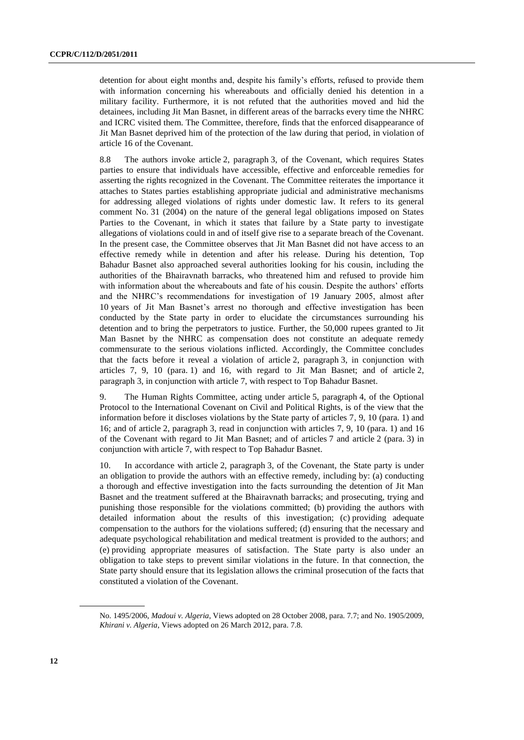detention for about eight months and, despite his family's efforts, refused to provide them with information concerning his whereabouts and officially denied his detention in a military facility. Furthermore, it is not refuted that the authorities moved and hid the detainees, including Jit Man Basnet, in different areas of the barracks every time the NHRC and ICRC visited them. The Committee, therefore, finds that the enforced disappearance of Jit Man Basnet deprived him of the protection of the law during that period, in violation of article 16 of the Covenant.

8.8 The authors invoke article 2, paragraph 3, of the Covenant, which requires States parties to ensure that individuals have accessible, effective and enforceable remedies for asserting the rights recognized in the Covenant. The Committee reiterates the importance it attaches to States parties establishing appropriate judicial and administrative mechanisms for addressing alleged violations of rights under domestic law. It refers to its general comment No. 31 (2004) on the nature of the general legal obligations imposed on States Parties to the Covenant, in which it states that failure by a State party to investigate allegations of violations could in and of itself give rise to a separate breach of the Covenant. In the present case, the Committee observes that Jit Man Basnet did not have access to an effective remedy while in detention and after his release. During his detention, Top Bahadur Basnet also approached several authorities looking for his cousin, including the authorities of the Bhairavnath barracks, who threatened him and refused to provide him with information about the whereabouts and fate of his cousin. Despite the authors' efforts and the NHRC's recommendations for investigation of 19 January 2005, almost after 10 years of Jit Man Basnet's arrest no thorough and effective investigation has been conducted by the State party in order to elucidate the circumstances surrounding his detention and to bring the perpetrators to justice. Further, the 50,000 rupees granted to Jit Man Basnet by the NHRC as compensation does not constitute an adequate remedy commensurate to the serious violations inflicted. Accordingly, the Committee concludes that the facts before it reveal a violation of article 2, paragraph 3, in conjunction with articles 7, 9, 10 (para. 1) and 16, with regard to Jit Man Basnet; and of article 2, paragraph 3, in conjunction with article 7, with respect to Top Bahadur Basnet.

9. The Human Rights Committee, acting under article 5, paragraph 4, of the Optional Protocol to the International Covenant on Civil and Political Rights, is of the view that the information before it discloses violations by the State party of articles 7, 9, 10 (para. 1) and 16; and of article 2, paragraph 3, read in conjunction with articles 7, 9, 10 (para. 1) and 16 of the Covenant with regard to Jit Man Basnet; and of articles 7 and article 2 (para. 3) in conjunction with article 7, with respect to Top Bahadur Basnet.

10. In accordance with article 2, paragraph 3, of the Covenant, the State party is under an obligation to provide the authors with an effective remedy, including by: (a) conducting a thorough and effective investigation into the facts surrounding the detention of Jit Man Basnet and the treatment suffered at the Bhairavnath barracks; and prosecuting, trying and punishing those responsible for the violations committed; (b) providing the authors with detailed information about the results of this investigation; (c) providing adequate compensation to the authors for the violations suffered; (d) ensuring that the necessary and adequate psychological rehabilitation and medical treatment is provided to the authors; and (e) providing appropriate measures of satisfaction. The State party is also under an obligation to take steps to prevent similar violations in the future. In that connection, the State party should ensure that its legislation allows the criminal prosecution of the facts that constituted a violation of the Covenant.

No. 1495/2006, *Madoui v. Algeria*, Views adopted on 28 October 2008, para. 7.7; and No. 1905/2009, *Khirani v. Algeria*, Views adopted on 26 March 2012, para. 7.8.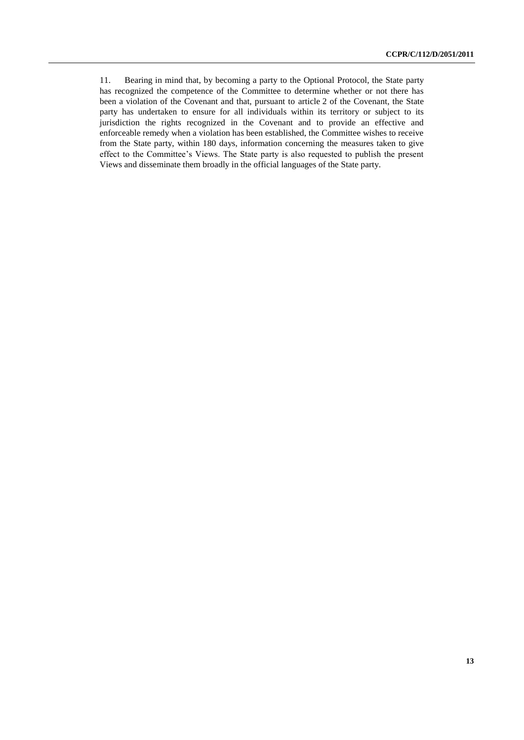11. Bearing in mind that, by becoming a party to the Optional Protocol, the State party has recognized the competence of the Committee to determine whether or not there has been a violation of the Covenant and that, pursuant to article 2 of the Covenant, the State party has undertaken to ensure for all individuals within its territory or subject to its jurisdiction the rights recognized in the Covenant and to provide an effective and enforceable remedy when a violation has been established, the Committee wishes to receive from the State party, within 180 days, information concerning the measures taken to give effect to the Committee's Views. The State party is also requested to publish the present Views and disseminate them broadly in the official languages of the State party.